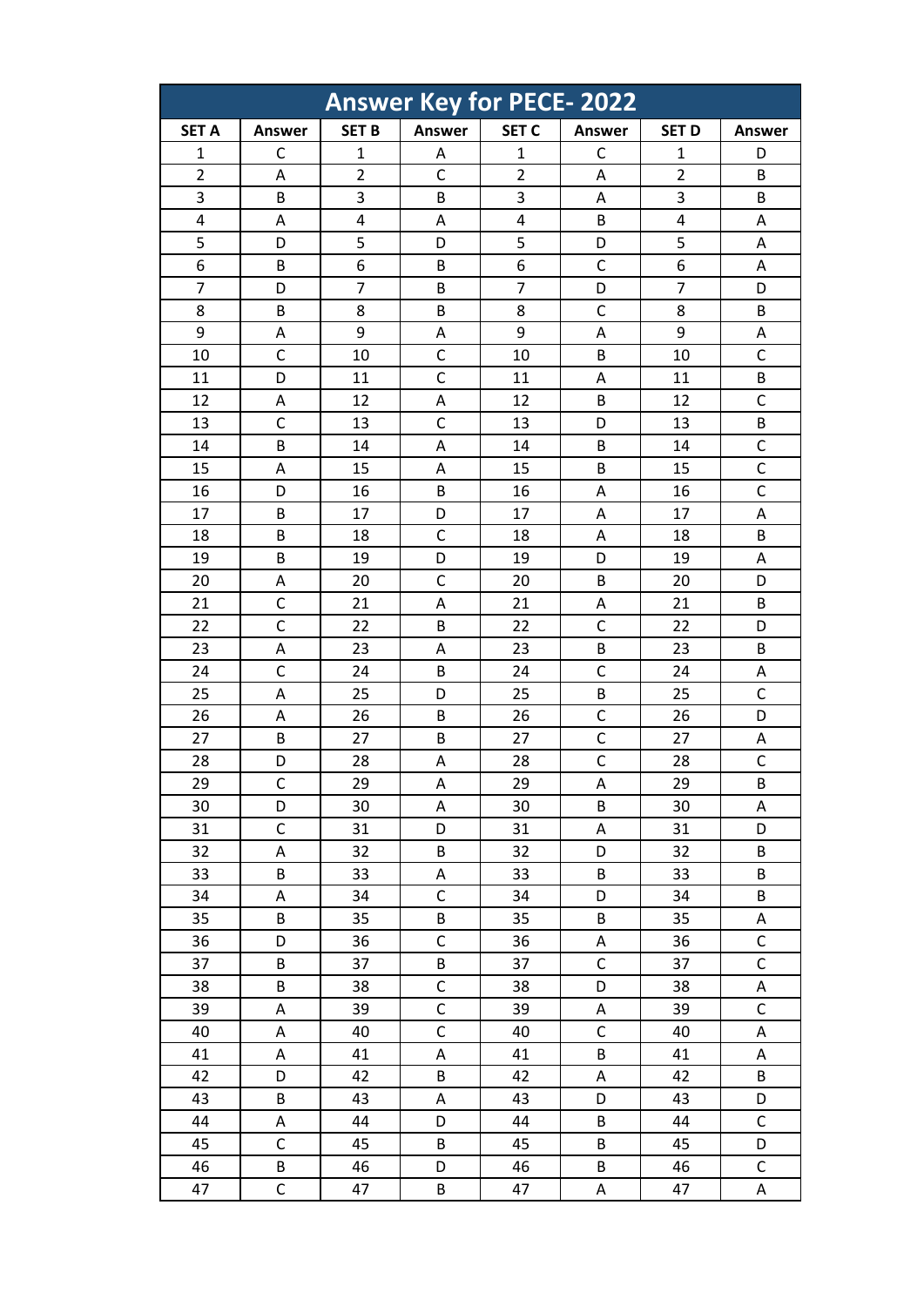| <b>Answer Key for PECE-2022</b> |               |                |                |                |               |                |                           |
|---------------------------------|---------------|----------------|----------------|----------------|---------------|----------------|---------------------------|
| <b>SET A</b>                    | <b>Answer</b> | <b>SET B</b>   | <b>Answer</b>  | <b>SET C</b>   | <b>Answer</b> | <b>SET D</b>   | <b>Answer</b>             |
| $\mathbf{1}$                    | C             | $\mathbf{1}$   | Α              | $\mathbf{1}$   | C             | $\mathbf{1}$   | D                         |
| $\overline{2}$                  | A             | $\overline{2}$ | $\overline{C}$ | $\overline{2}$ | Α             | $\overline{2}$ | B                         |
| 3                               | B             | 3              | B              | 3              | Α             | 3              | B                         |
| 4                               | Α             | 4              | Α              | 4              | B             | 4              | Α                         |
| $\overline{5}$                  | D             | 5              | D              | 5              | D             | 5              | A                         |
| 6                               | B             | 6              | B              | 6              | C             | 6              | A                         |
| 7                               | D             | 7              | B              | $\overline{7}$ | D             | $\overline{7}$ | D                         |
| 8                               | B             | 8              | B              | 8              | $\mathsf{C}$  | 8              | B                         |
| 9                               | A             | 9              | A              | 9              | Α             | 9              | A                         |
| 10                              | C             | 10             | C              | 10             | B             | 10             | C                         |
| 11                              | D             | 11             | $\mathsf{C}$   | 11             | Α             | 11             | B                         |
| 12                              | A             | 12             | Α              | 12             | B             | 12             | $\mathsf{C}$              |
| 13                              | $\mathsf{C}$  | 13             | $\mathsf{C}$   | 13             | D             | 13             | B                         |
| 14                              | B             | 14             | Α              | 14             | B             | 14             | $\mathsf{C}$              |
| 15                              | A             | 15             | Α              | 15             | B             | 15             | $\mathsf{C}$              |
| 16                              | D             | 16             | B              | 16             | Α             | 16             | $\mathsf{C}$              |
| 17                              | B             | 17             | D              | 17             | Α             | 17             | A                         |
| 18                              | B             | 18             | $\mathsf{C}$   | 18             | Α             | 18             | B                         |
| 19                              | B             | 19             | D              | 19             | D             | 19             | Α                         |
| 20                              | A             | 20             | C              | 20             | B             | 20             | D                         |
| 21                              | $\mathsf{C}$  | 21             | А              | 21             | Α             | 21             | B                         |
| 22                              | $\mathsf{C}$  | 22             | B              | 22             | $\mathsf{C}$  | 22             | D                         |
| 23                              | A             | 23             | Α              | 23             | B             | 23             | B                         |
| 24                              | $\mathsf{C}$  | 24             | B              | 24             | $\mathsf C$   | 24             | Α                         |
| 25                              | A             | 25             | D              | 25             | B             | 25             | $\mathsf{C}$              |
| 26                              | Α             | 26             | B              | 26             | $\mathsf C$   | 26             | D                         |
| 27                              | B             | 27             | B              | 27             | $\mathsf C$   | 27             | A                         |
| 28                              | D             | 28             | Α              | 28             | $\mathsf{C}$  | 28             | $\mathsf{C}$              |
| 29                              | C             | 29             | Α              | 29             | А             | 29             | B                         |
| 30                              | D             | 30             | A              | 30             | B             | 30             | $\boldsymbol{\mathsf{A}}$ |
| 31                              | $\mathsf C$   | 31             | D              | 31             | A             | 31             | D                         |
| 32                              | Α             | 32             | B              | 32             | D             | 32             | B                         |
| 33                              | B             | 33             | A              | 33             | B             | 33             | B                         |
| 34                              | Α             | 34             | $\mathsf{C}$   | 34             | D             | 34             | B                         |
| 35                              | B             | 35             | B              | 35             | B             | 35             | A                         |
| 36                              | D             | 36             | $\mathsf{C}$   | 36             | $\mathsf A$   | 36             | $\mathsf C$               |
| 37                              | B             | 37             | B              | 37             | $\mathsf C$   | 37             | $\mathsf{C}$              |
| 38                              | B             | 38             | $\overline{C}$ | 38             | D             | 38             | A                         |
| 39                              | A             | 39             | $\mathsf{C}$   | 39             | Α             | 39             | $\mathsf C$               |
| 40                              | A             | 40             | $\overline{C}$ | 40             | $\mathsf C$   | 40             | A                         |
| 41                              | Α             | 41             | A              | 41             | $\sf B$       | 41             | Α                         |
| 42                              | D             | 42             | B              | 42             | Α             | 42             | B                         |
| 43                              | B             | 43             | A              | 43             | D             | 43             | D                         |
| 44                              | A             | 44             | D              | 44             | B             | 44             | $\mathsf C$               |
| 45                              | $\mathsf C$   | 45             | B              | 45             | B             | 45             | D                         |
| 46                              | B             | 46             | D              | 46             | B             | 46             | $\mathsf C$               |
| 47                              | $\mathsf C$   | 47             | B              | 47             | Α             | 47             | Α                         |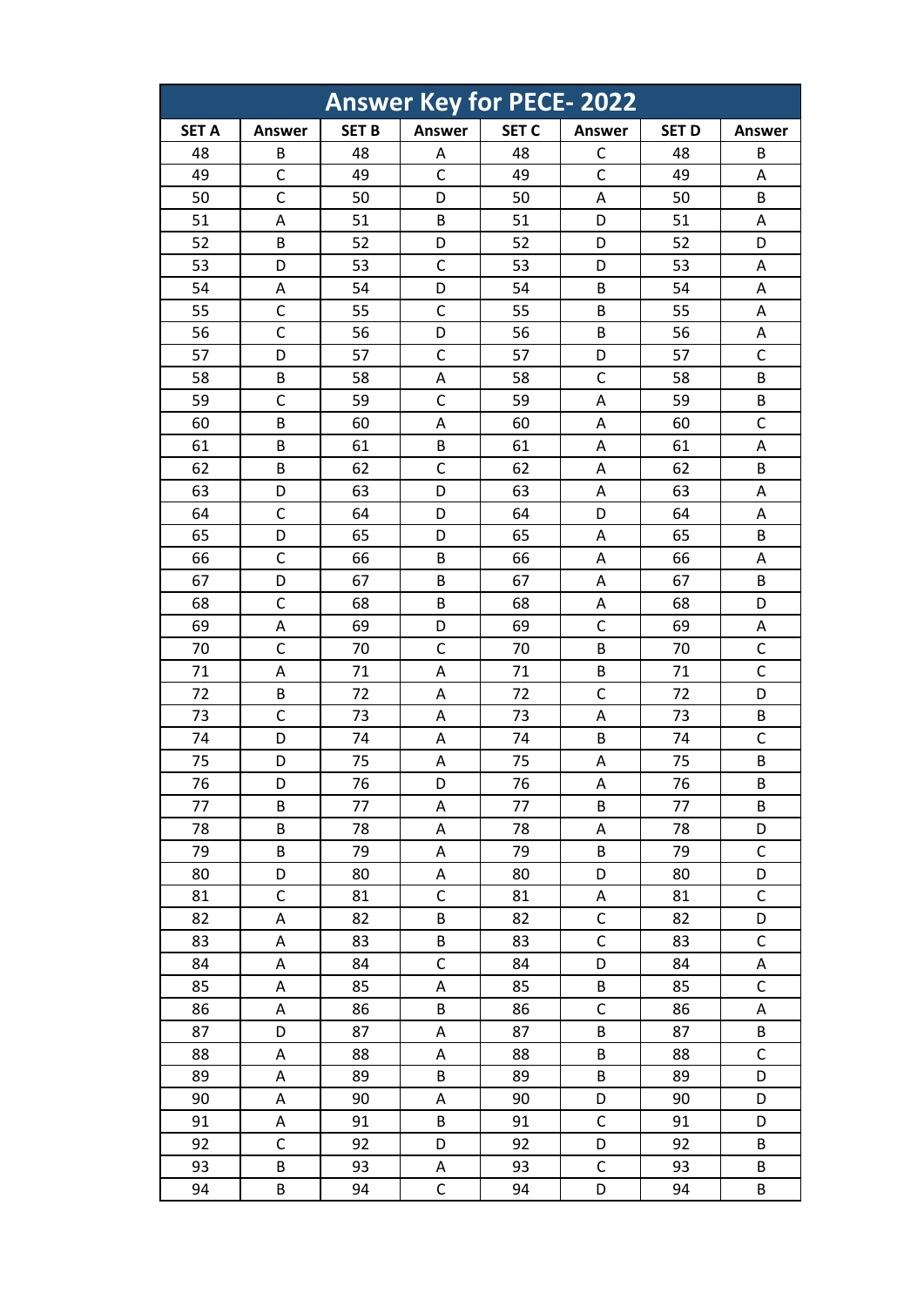| <b>Answer Key for PECE-2022</b> |               |              |               |              |               |              |               |
|---------------------------------|---------------|--------------|---------------|--------------|---------------|--------------|---------------|
| <b>SET A</b>                    | <b>Answer</b> | <b>SET B</b> | <b>Answer</b> | <b>SET C</b> | <b>Answer</b> | <b>SET D</b> | <b>Answer</b> |
| 48                              | B             | 48           | Α             | 48           | C             | 48           | B             |
| 49                              | $\mathsf{C}$  | 49           | $\mathsf{C}$  | 49           | $\mathsf{C}$  | 49           | Α             |
| 50                              | $\mathsf{C}$  | 50           | D             | 50           | A             | 50           | B             |
| 51                              | Α             | 51           | B             | 51           | D             | 51           | Α             |
| 52                              | B             | 52           | D             | 52           | D             | 52           | D             |
| 53                              | D             | 53           | $\mathsf{C}$  | 53           | D             | 53           | A             |
| 54                              | Α             | 54           | D             | 54           | B             | 54           | A             |
| 55                              | $\mathsf{C}$  | 55           | $\mathsf{C}$  | 55           | B             | 55           | Α             |
| 56                              | C             | 56           | D             | 56           | B             | 56           | A             |
| 57                              | D             | 57           | $\mathsf{C}$  | 57           | D             | 57           | C             |
| 58                              | B             | 58           | Α             | 58           | $\mathsf{C}$  | 58           | B             |
| 59                              | $\mathsf{C}$  | 59           | $\mathsf{C}$  | 59           | Α             | 59           | B             |
| 60                              | B             | 60           | A             | 60           | Α             | 60           | $\mathsf{C}$  |
| 61                              | B             | 61           | B             | 61           | A             | 61           | A             |
| 62                              | B             | 62           | $\mathsf{C}$  | 62           | Α             | 62           | B             |
| 63                              | D             | 63           | D             | 63           | A             | 63           | A             |
| 64                              | $\mathsf{C}$  | 64           | D             | 64           | D             | 64           | A             |
| 65                              | D             | 65           | D             | 65           | A             | 65           | B             |
| 66                              | $\mathsf{C}$  | 66           | B             | 66           | A             | 66           | Α             |
| 67                              | D             | 67           | B             | 67           | Α             | 67           | B             |
| 68                              | $\mathsf{C}$  | 68           | B             | 68           | Α             | 68           | D             |
| 69                              | Α             | 69           | D             | 69           | $\mathsf C$   | 69           | A             |
| 70                              | C             | 70           | C             | 70           | B             | 70           | $\mathsf{C}$  |
| 71                              | Α             | 71           | Α             | 71           | B             | 71           | $\mathsf{C}$  |
| 72                              | B             | 72           | Α             | 72           | C             | 72           | D             |
| 73                              | $\mathsf{C}$  | 73           | Α             | 73           | A             | 73           | B             |
| 74                              | D             | 74           | Α             | 74           | B             | 74           | $\mathsf{C}$  |
| 75                              | D             | 75           | Α             | 75           | A             | 75           | B             |
| 76                              | D             | 76           | D             | 76           | А             | 76           | B             |
| 77                              | B             | 77           | A             | 77           | B             | 77           | B             |
| 78                              | B             | 78           | A             | 78           | A             | 78           | D             |
| 79                              | B             | 79           | Α             | 79           | B             | 79           | $\mathsf C$   |
| 80                              | D             | 80           | A             | 80           | D             | 80           | D             |
| 81                              | $\mathsf C$   | 81           | $\mathsf{C}$  | 81           | A             | 81           | $\mathsf C$   |
| 82                              | A             | 82           | B             | 82           | $\mathsf C$   | 82           | D             |
| 83                              | A             | 83           | B             | 83           | $\mathsf C$   | 83           | $\mathsf C$   |
| 84                              | Α             | 84           | $\mathsf{C}$  | 84           | D             | 84           | A             |
| 85                              | A             | 85           | A             | 85           | B             | 85           | $\mathsf{C}$  |
| 86                              | Α             | 86           | B             | 86           | $\mathsf C$   | 86           | A             |
| 87                              | D             | 87           | A             | 87           | B             | 87           | B             |
| 88                              | Α             | 88           | A             | 88           | B             | 88           | $\mathsf C$   |
| 89                              | A             | 89           | B             | 89           | B             | 89           | D             |
| 90                              | A             | 90           | A             | 90           | D             | 90           | D             |
| 91                              | A             | 91           | B             | 91           | $\mathsf C$   | 91           | D             |
| 92                              | $\mathsf C$   | 92           | D             | 92           | D             | 92           | B             |
| 93                              | B             | 93           | Α             | 93           | $\mathsf C$   | 93           | B             |
| 94                              | B             | 94           | $\mathsf{C}$  | 94           | D             | 94           | B             |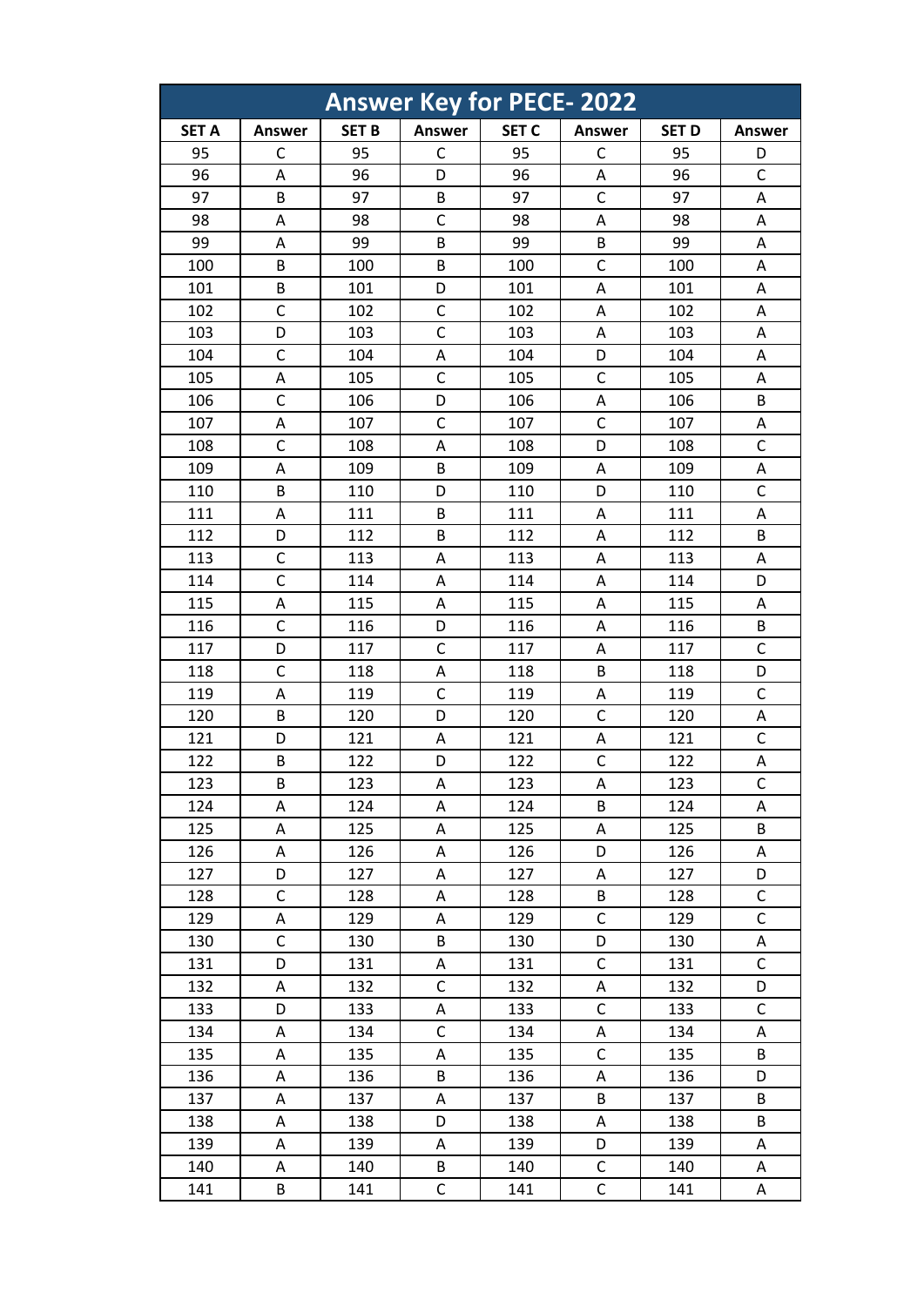|              |               |              |                | <b>Answer Key for PECE-2022</b> |               |              |               |
|--------------|---------------|--------------|----------------|---------------------------------|---------------|--------------|---------------|
| <b>SET A</b> | <b>Answer</b> | <b>SET B</b> | <b>Answer</b>  | <b>SET C</b>                    | <b>Answer</b> | <b>SET D</b> | <b>Answer</b> |
| 95           | C             | 95           | C              | 95                              | C             | 95           | D             |
| 96           | A             | 96           | D              | 96                              | A             | 96           | $\mathsf{C}$  |
| 97           | B             | 97           | В              | 97                              | $\mathsf C$   | 97           | Α             |
| 98           | Α             | 98           | $\mathsf{C}$   | 98                              | A             | 98           | Α             |
| 99           | A             | 99           | B              | 99                              | B             | 99           | A             |
| 100          | B             | 100          | B              | 100                             | $\mathsf{C}$  | 100          | Α             |
| 101          | B             | 101          | D              | 101                             | A             | 101          | A             |
| 102          | C             | 102          | $\mathsf{C}$   | 102                             | A             | 102          | Α             |
| 103          | D             | 103          | $\overline{C}$ | 103                             | A             | 103          | A             |
| 104          | C             | 104          | Α              | 104                             | D             | 104          | Α             |
| 105          | A             | 105          | $\mathsf{C}$   | 105                             | $\mathsf{C}$  | 105          | A             |
| 106          | $\mathsf{C}$  | 106          | D              | 106                             | $\mathsf A$   | 106          | B             |
| 107          | A             | 107          | $\mathsf{C}$   | 107                             | $\mathsf{C}$  | 107          | Α             |
| 108          | $\mathsf{C}$  | 108          | A              | 108                             | D             | 108          | $\mathsf{C}$  |
| 109          | Α             | 109          | В              | 109                             | A             | 109          | Α             |
| 110          | B             | 110          | D              | 110                             | D             | 110          | $\mathsf{C}$  |
| 111          | A             | 111          | B              | 111                             | Α             | 111          | A             |
| 112          | D             | 112          | B              | 112                             | A             | 112          | B             |
| 113          | $\mathsf{C}$  | 113          | Α              | 113                             | A             | 113          | A             |
| 114          | C             | 114          | A              | 114                             | A             | 114          | D             |
| 115          | Α             | 115          | Α              | 115                             | A             | 115          | Α             |
| 116          | $\mathsf{C}$  | 116          | D              | 116                             | A             | 116          | B             |
| 117          | D             | 117          | $\mathsf{C}$   | 117                             | A             | 117          | C             |
| 118          | $\mathsf{C}$  | 118          | Α              | 118                             | B             | 118          | D             |
| 119          | A             | 119          | $\mathsf{C}$   | 119                             | A             | 119          | $\mathsf{C}$  |
| 120          | B             | 120          | D              | 120                             | $\mathsf C$   | 120          | A             |
| 121          | D             | 121          | A              | 121                             | Α             | 121          | $\mathsf{C}$  |
| 122          | B             | 122          | D              | 122                             | $\mathsf{C}$  | 122          | A             |
| 123          | В             | 123          | A              | 123                             | A             | 123          | C             |
| 124          | A             | 124          | A              | 124                             | B             | 124          | A             |
| 125          | Α             | 125          | A              | 125                             | Α             | 125          | B             |
| 126          | Α             | 126          | Α              | 126                             | D             | 126          | Α             |
| 127          | D             | 127          | Α              | 127                             | Α             | 127          | D             |
| 128          | C             | 128          | Α              | 128                             | B             | 128          | C             |
| 129          | Α             | 129          | A              | 129                             | $\mathsf C$   | 129          | $\mathsf{C}$  |
| 130          | $\mathsf C$   | 130          | B              | 130                             | D             | 130          | Α             |
| 131          | D             | 131          | A              | 131                             | $\mathsf C$   | 131          | $\mathsf{C}$  |
| 132          | Α             | 132          | $\mathsf{C}$   | 132                             | A             | 132          | D             |
| 133          | D             | 133          | A              | 133                             | $\mathsf C$   | 133          | $\mathsf C$   |
| 134          | Α             | 134          | $\mathsf{C}$   | 134                             | A             | 134          | A             |
| 135          | Α             | 135          | Α              | 135                             | $\mathsf C$   | 135          | B             |
| 136          | Α             | 136          | B              | 136                             | Α             | 136          | D             |
| 137          | Α             | 137          | Α              | 137                             | B             | 137          | B             |
| 138          | Α             | 138          | D              | 138                             | Α             | 138          | B             |
| 139          | Α             | 139          | Α              | 139                             | D             | 139          | Α             |
| 140          | Α             | 140          | B              | 140                             | $\mathsf{C}$  | 140          | Α             |
| 141          | В             | 141          | C              | 141                             | $\mathsf C$   | 141          | Α             |